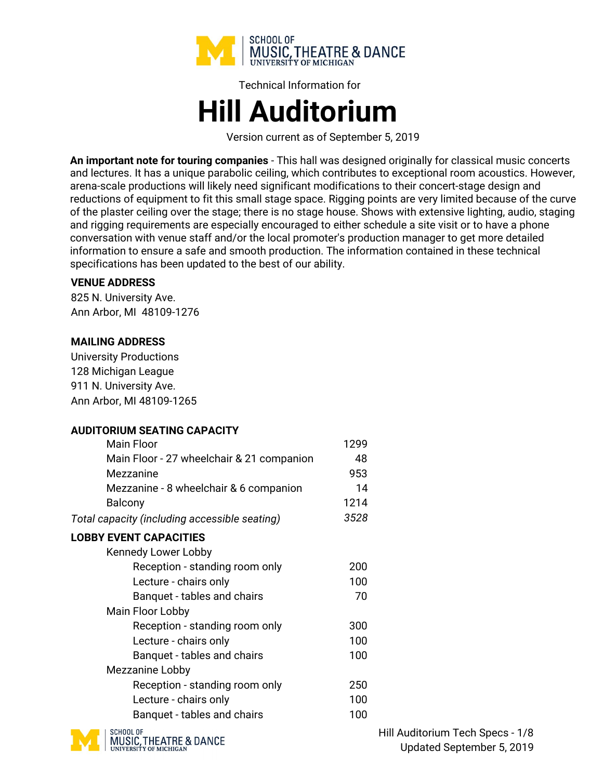

# Technical Information for **Hill Auditorium**

Version current as of September 5, 2019

**An important note for touring companies** - This hall was designed originally for classical music concerts and lectures. It has a unique parabolic ceiling, which contributes to exceptional room acoustics. However, arena-scale productions will likely need significant modifications to their concert-stage design and reductions of equipment to fit this small stage space. Rigging points are very limited because of the curve of the plaster ceiling over the stage; there is no stage house. Shows with extensive lighting, audio, staging and rigging requirements are especially encouraged to either schedule a site visit or to have a phone conversation with venue staff and/or the local promoter's production manager to get more detailed information to ensure a safe and smooth production. The information contained in these technical specifications has been updated to the best of our ability.

### **VENUE ADDRESS**

825 N. University Ave. Ann Arbor, MI 48109-1276

### **MAILING ADDRESS**

University Productions 128 Michigan League 911 N. University Ave. Ann Arbor, MI 48109-1265

## **AUDITORIUM SEATING CAPACITY**

| 1299 |
|------|
| 48   |
| 953  |
| 14   |
| 1214 |
| 3528 |
|      |
|      |
| 200  |
| 100  |
| 70   |
|      |
| 300  |
| 100  |
| 100  |
|      |
| 250  |
| 100  |
| 100  |
|      |



Hill Auditorium Tech Specs - 1/8 Updated September 5, 2019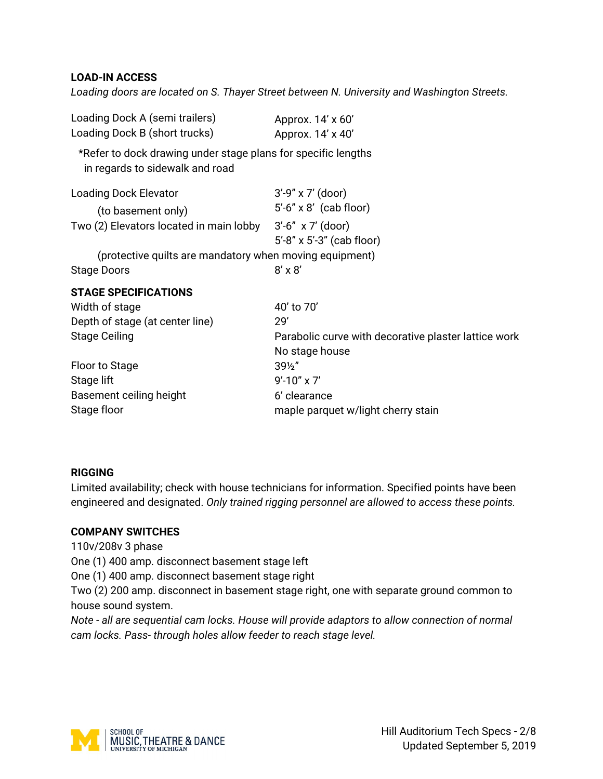#### **LOAD-IN ACCESS**

*Loading doors are located on S. Thayer Street between N. University and Washington Streets.*

| Loading Dock A (semi trailers)<br>Loading Dock B (short trucks)                                  | Approx. 14' x 60'<br>Approx. 14' x 40'               |
|--------------------------------------------------------------------------------------------------|------------------------------------------------------|
| *Refer to dock drawing under stage plans for specific lengths<br>in regards to sidewalk and road |                                                      |
| <b>Loading Dock Elevator</b>                                                                     | $3'$ -9" x 7' (door)                                 |
| (to basement only)                                                                               | $5'$ -6" x 8' (cab floor)                            |
| Two (2) Elevators located in main lobby 3'-6" x 7' (door)                                        |                                                      |
|                                                                                                  | $5'$ -8" x $5'$ -3" (cab floor)                      |
| (protective quilts are mandatory when moving equipment)                                          |                                                      |
| <b>Stage Doors</b>                                                                               | $8' \times 8'$                                       |
| <b>STAGE SPECIFICATIONS</b>                                                                      |                                                      |
| Width of stage                                                                                   | 40' to 70'                                           |
| Depth of stage (at center line)                                                                  | 29'                                                  |
| <b>Stage Ceiling</b>                                                                             | Parabolic curve with decorative plaster lattice work |
|                                                                                                  | No stage house                                       |
| Floor to Stage                                                                                   | $39\frac{1}{2}$                                      |
| Stage lift                                                                                       | $9' - 10'' \times 7'$                                |
| Basement ceiling height                                                                          | 6' clearance                                         |
| Stage floor                                                                                      | maple parquet w/light cherry stain                   |

#### **RIGGING**

Limited availability; check with house technicians for information. Specified points have been engineered and designated. *Only trained rigging personnel are allowed to access these points.*

## **COMPANY SWITCHES**

110v/208v 3 phase

One (1) 400 amp. disconnect basement stage left

One (1) 400 amp. disconnect basement stage right

Two (2) 200 amp. disconnect in basement stage right, one with separate ground common to house sound system.

*Note - all are sequential cam locks. House will provide adaptors to allow connection of normal cam locks. Pass- through holes allow feeder to reach stage level.*

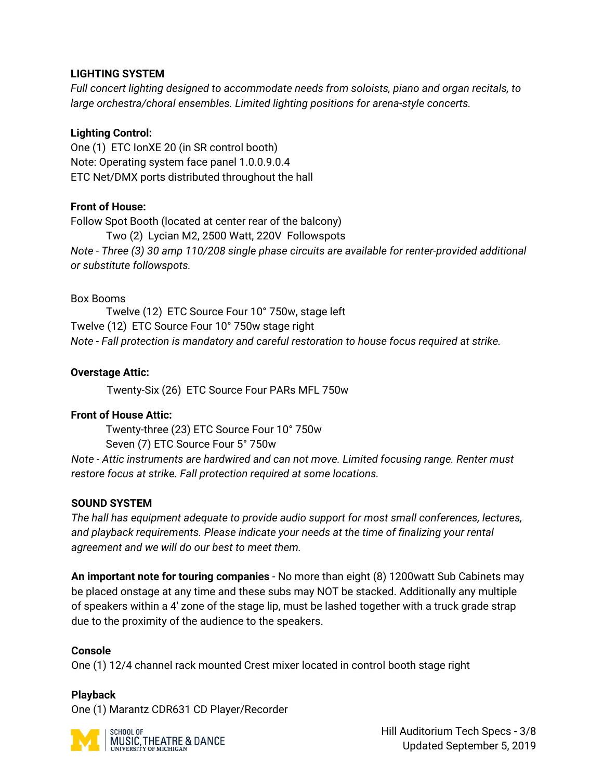## **LIGHTING SYSTEM**

*Full concert lighting designed to accommodate needs from soloists, piano and organ recitals, to large orchestra/choral ensembles. Limited lighting positions for arena-style concerts.*

## **Lighting Control:**

One (1) ETC IonXE 20 (in SR control booth) Note: Operating system face panel 1.0.0.9.0.4 ETC Net/DMX ports distributed throughout the hall

## **Front of House:**

Follow Spot Booth (located at center rear of the balcony) Two (2) Lycian M2, 2500 Watt, 220V Followspots *Note - Three (3) 30 amp 110/208 single phase circuits are available for renter-provided additional or substitute followspots.* 

## Box Booms

Twelve (12) ETC Source Four 10° 750w, stage left Twelve (12) ETC Source Four 10° 750w stage right *Note - Fall protection is mandatory and careful restoration to house focus required at strike.* 

## **Overstage Attic:**

Twenty-Six (26) ETC Source Four PARs MFL 750w

## **Front of House Attic:**

Twenty-three (23) ETC Source Four 10° 750w Seven (7) ETC Source Four 5° 750w

*Note - Attic instruments are hardwired and can not move. Limited focusing range. Renter must restore focus at strike. Fall protection required at some locations.* 

# **SOUND SYSTEM**

*The hall has equipment adequate to provide audio support for most small conferences, lectures, and playback requirements. Please indicate your needs at the time of finalizing your rental agreement and we will do our best to meet them.* 

**An important note for touring companies** - No more than eight (8) 1200watt Sub Cabinets may be placed onstage at any time and these subs may NOT be stacked. Additionally any multiple of speakers within a 4' zone of the stage lip, must be lashed together with a truck grade strap due to the proximity of the audience to the speakers.

## **Console**

One (1) 12/4 channel rack mounted Crest mixer located in control booth stage right

## **Playback**

One (1) Marantz CDR631 CD Player/Recorder



Hill Auditorium Tech Specs - 3/8 Updated September 5, 2019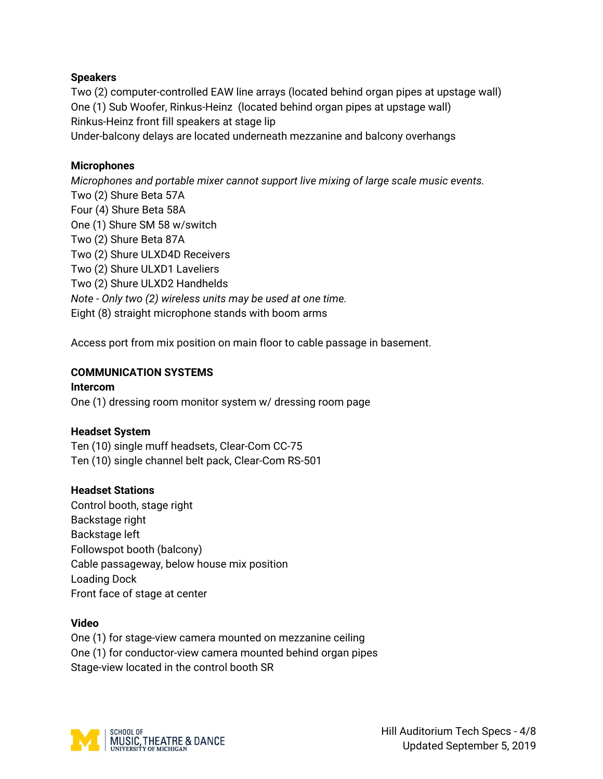## **Speakers**

Two (2) computer-controlled EAW line arrays (located behind organ pipes at upstage wall) One (1) Sub Woofer, Rinkus-Heinz (located behind organ pipes at upstage wall) Rinkus-Heinz front fill speakers at stage lip Under-balcony delays are located underneath mezzanine and balcony overhangs

#### **Microphones**

*Microphones and portable mixer cannot support live mixing of large scale music events.* Two (2) Shure Beta 57A Four (4) Shure Beta 58A One (1) Shure SM 58 w/switch Two (2) Shure Beta 87A Two (2) Shure ULXD4D Receivers Two (2) Shure ULXD1 Laveliers Two (2) Shure ULXD2 Handhelds *Note - Only two (2) wireless units may be used at one time.* Eight (8) straight microphone stands with boom arms

Access port from mix position on main floor to cable passage in basement.

### **COMMUNICATION SYSTEMS**

#### **Intercom**

One (1) dressing room monitor system w/ dressing room page

#### **Headset System**

Ten (10) single muff headsets, Clear-Com CC-75 Ten (10) single channel belt pack, Clear-Com RS-501

#### **Headset Stations**

Control booth, stage right Backstage right Backstage left Followspot booth (balcony) Cable passageway, below house mix position Loading Dock Front face of stage at center

#### **Video**

One (1) for stage-view camera mounted on mezzanine ceiling One (1) for conductor-view camera mounted behind organ pipes Stage-view located in the control booth SR

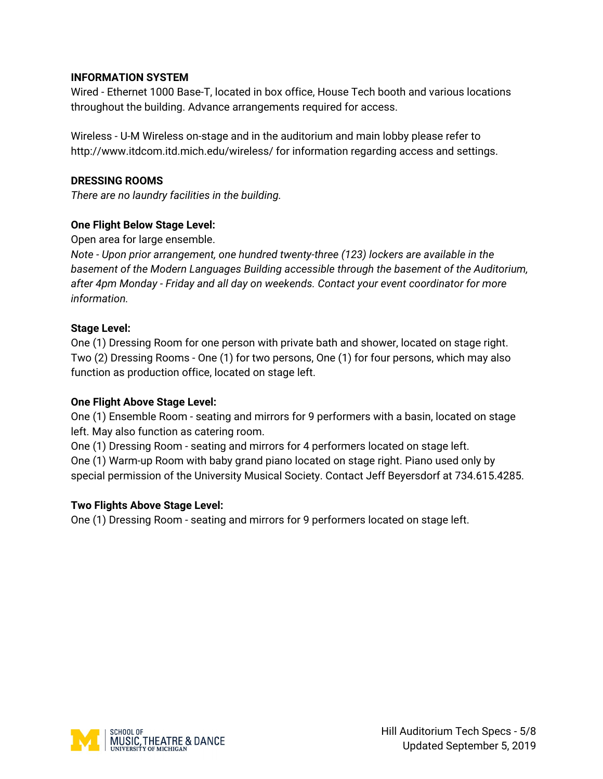## **INFORMATION SYSTEM**

Wired - Ethernet 1000 Base-T, located in box office, House Tech booth and various locations throughout the building. Advance arrangements required for access.

Wireless - U-M Wireless on-stage and in the auditorium and main lobby please refer to http://www.itdcom.itd.mich.edu/wireless/ for information regarding access and settings.

## **DRESSING ROOMS**

*There are no laundry facilities in the building.*

# **One Flight Below Stage Level:**

## Open area for large ensemble.

*Note - Upon prior arrangement, one hundred twenty-three (123) lockers are available in the basement of the Modern Languages Building accessible through the basement of the Auditorium, after 4pm Monday - Friday and all day on weekends. Contact your event coordinator for more information.*

## **Stage Level:**

One (1) Dressing Room for one person with private bath and shower, located on stage right. Two (2) Dressing Rooms - One (1) for two persons, One (1) for four persons, which may also function as production office, located on stage left.

## **One Flight Above Stage Level:**

One (1) Ensemble Room - seating and mirrors for 9 performers with a basin, located on stage left. May also function as catering room.

One (1) Dressing Room - seating and mirrors for 4 performers located on stage left. One (1) Warm-up Room with baby grand piano located on stage right. Piano used only by special permission of the University Musical Society. Contact Jeff Beyersdorf at 734.615.4285.

## **Two Flights Above Stage Level:**

One (1) Dressing Room - seating and mirrors for 9 performers located on stage left.

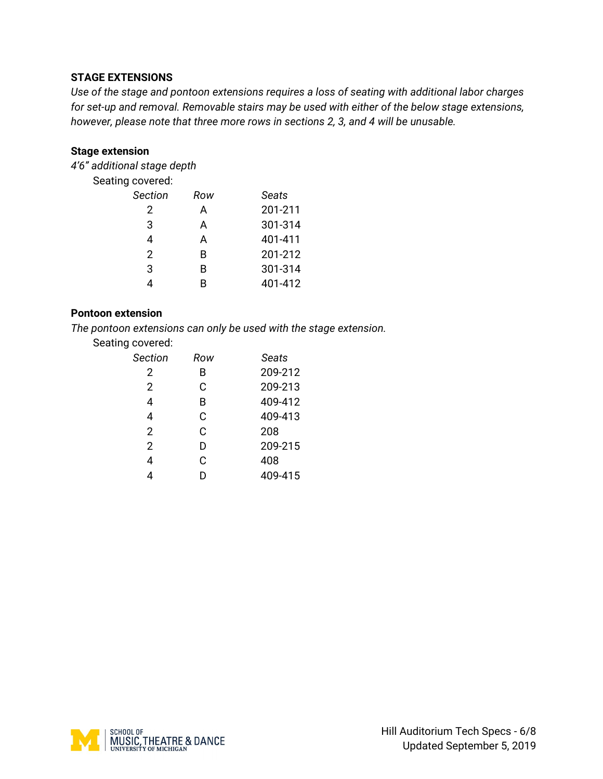## **STAGE EXTENSIONS**

*Use of the stage and pontoon extensions requires a loss of seating with additional labor charges for set-up and removal. Removable stairs may be used with either of the below stage extensions, however, please note that three more rows in sections 2, 3, and 4 will be unusable.*

#### **Stage extension**

*4'6" additional stage depth*

Seating covered:

| <b>Section</b> | Row | Seats   |
|----------------|-----|---------|
| 2              | А   | 201-211 |
| 3              | А   | 301-314 |
| 4              | А   | 401-411 |
| 2              | B   | 201-212 |
| 3              | B   | 301-314 |
|                | R   | 401-412 |

#### **Pontoon extension**

*The pontoon extensions can only be used with the stage extension.*

| Seating covered: |  |  |
|------------------|--|--|
|------------------|--|--|

| Section | Row | <b>Seats</b> |
|---------|-----|--------------|
| 2       | B   | 209-212      |
| 2       | C   | 209-213      |
| 4       | В   | 409-412      |
| 4       | C   | 409-413      |
| 2       | C   | 208          |
| 2       | D   | 209-215      |
| 4       | C   | 408          |
|         |     | 409-415      |

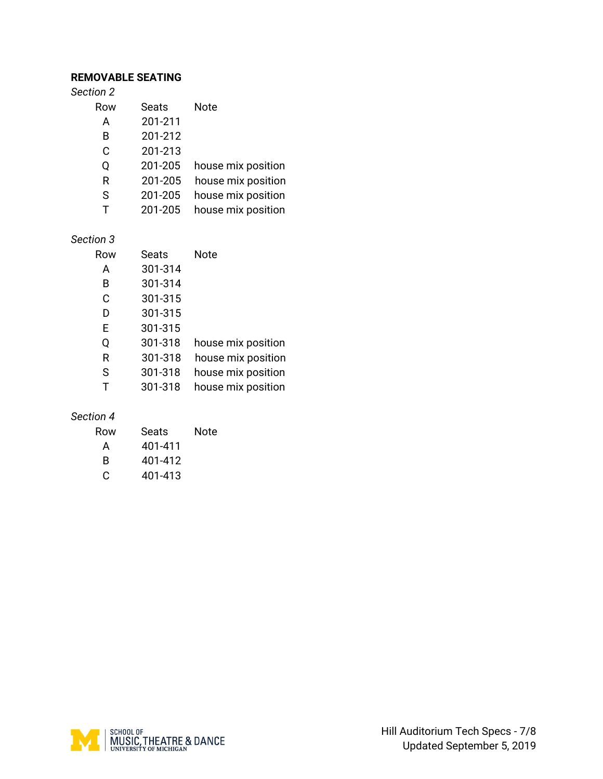### **REMOVABLE SEATING**

| Section 2    |         |                    |
|--------------|---------|--------------------|
| Row          | Seats   | Note               |
| A            | 201-211 |                    |
| в            | 201-212 |                    |
| C            | 201-213 |                    |
| Ω            | 201-205 | house mix position |
| R            | 201-205 | house mix position |
| S            | 201-205 | house mix position |
| $\mathbf{T}$ | 201-205 | house mix position |
|              |         |                    |

## *Section 3*

| Row | Seats   | Note               |
|-----|---------|--------------------|
| A   | 301-314 |                    |
| B   | 301-314 |                    |
| C   | 301-315 |                    |
| D   | 301-315 |                    |
| Е   | 301-315 |                    |
| Q   | 301-318 | house mix position |
| R   | 301-318 | house mix position |
| S   | 301-318 | house mix position |
| Т   | 301-318 | house mix position |

#### *Section 4*

| Row | Seats   | Note |
|-----|---------|------|
| А   | 401-411 |      |
| B   | 401-412 |      |
| C   | 401-413 |      |